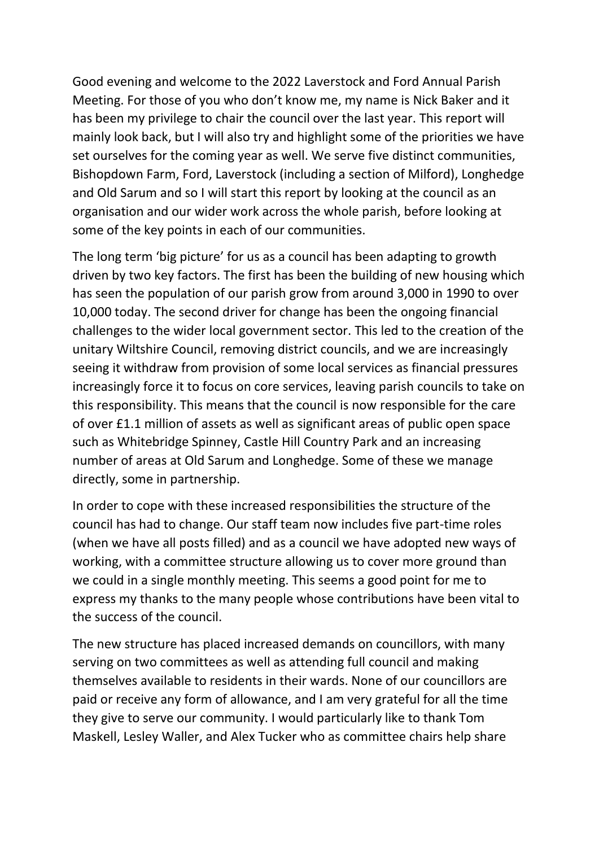Good evening and welcome to the 2022 Laverstock and Ford Annual Parish Meeting. For those of you who don't know me, my name is Nick Baker and it has been my privilege to chair the council over the last year. This report will mainly look back, but I will also try and highlight some of the priorities we have set ourselves for the coming year as well. We serve five distinct communities, Bishopdown Farm, Ford, Laverstock (including a section of Milford), Longhedge and Old Sarum and so I will start this report by looking at the council as an organisation and our wider work across the whole parish, before looking at some of the key points in each of our communities.

The long term 'big picture' for us as a council has been adapting to growth driven by two key factors. The first has been the building of new housing which has seen the population of our parish grow from around 3,000 in 1990 to over 10,000 today. The second driver for change has been the ongoing financial challenges to the wider local government sector. This led to the creation of the unitary Wiltshire Council, removing district councils, and we are increasingly seeing it withdraw from provision of some local services as financial pressures increasingly force it to focus on core services, leaving parish councils to take on this responsibility. This means that the council is now responsible for the care of over £1.1 million of assets as well as significant areas of public open space such as Whitebridge Spinney, Castle Hill Country Park and an increasing number of areas at Old Sarum and Longhedge. Some of these we manage directly, some in partnership.

In order to cope with these increased responsibilities the structure of the council has had to change. Our staff team now includes five part-time roles (when we have all posts filled) and as a council we have adopted new ways of working, with a committee structure allowing us to cover more ground than we could in a single monthly meeting. This seems a good point for me to express my thanks to the many people whose contributions have been vital to the success of the council.

The new structure has placed increased demands on councillors, with many serving on two committees as well as attending full council and making themselves available to residents in their wards. None of our councillors are paid or receive any form of allowance, and I am very grateful for all the time they give to serve our community. I would particularly like to thank Tom Maskell, Lesley Waller, and Alex Tucker who as committee chairs help share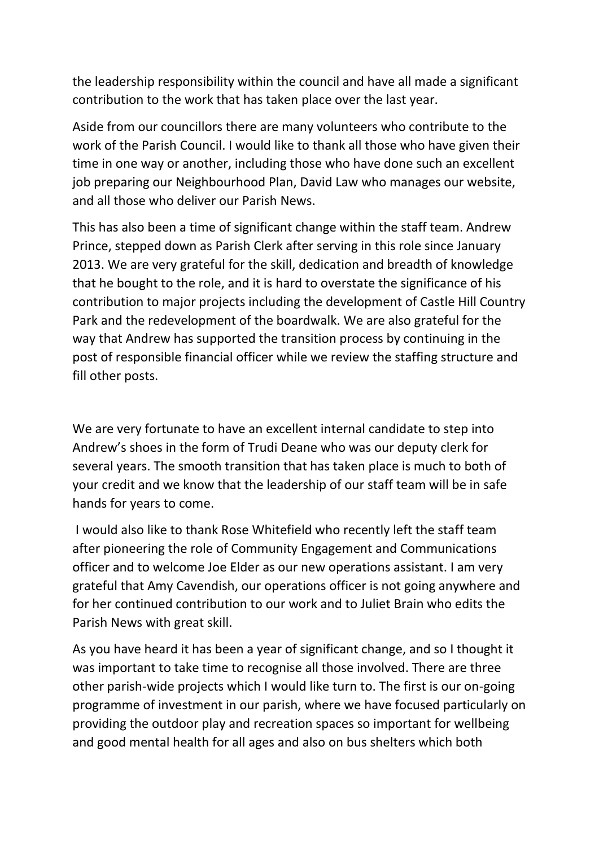the leadership responsibility within the council and have all made a significant contribution to the work that has taken place over the last year.

Aside from our councillors there are many volunteers who contribute to the work of the Parish Council. I would like to thank all those who have given their time in one way or another, including those who have done such an excellent job preparing our Neighbourhood Plan, David Law who manages our website, and all those who deliver our Parish News.

This has also been a time of significant change within the staff team. Andrew Prince, stepped down as Parish Clerk after serving in this role since January 2013. We are very grateful for the skill, dedication and breadth of knowledge that he bought to the role, and it is hard to overstate the significance of his contribution to major projects including the development of Castle Hill Country Park and the redevelopment of the boardwalk. We are also grateful for the way that Andrew has supported the transition process by continuing in the post of responsible financial officer while we review the staffing structure and fill other posts.

We are very fortunate to have an excellent internal candidate to step into Andrew's shoes in the form of Trudi Deane who was our deputy clerk for several years. The smooth transition that has taken place is much to both of your credit and we know that the leadership of our staff team will be in safe hands for years to come.

I would also like to thank Rose Whitefield who recently left the staff team after pioneering the role of Community Engagement and Communications officer and to welcome Joe Elder as our new operations assistant. I am very grateful that Amy Cavendish, our operations officer is not going anywhere and for her continued contribution to our work and to Juliet Brain who edits the Parish News with great skill.

As you have heard it has been a year of significant change, and so I thought it was important to take time to recognise all those involved. There are three other parish-wide projects which I would like turn to. The first is our on-going programme of investment in our parish, where we have focused particularly on providing the outdoor play and recreation spaces so important for wellbeing and good mental health for all ages and also on bus shelters which both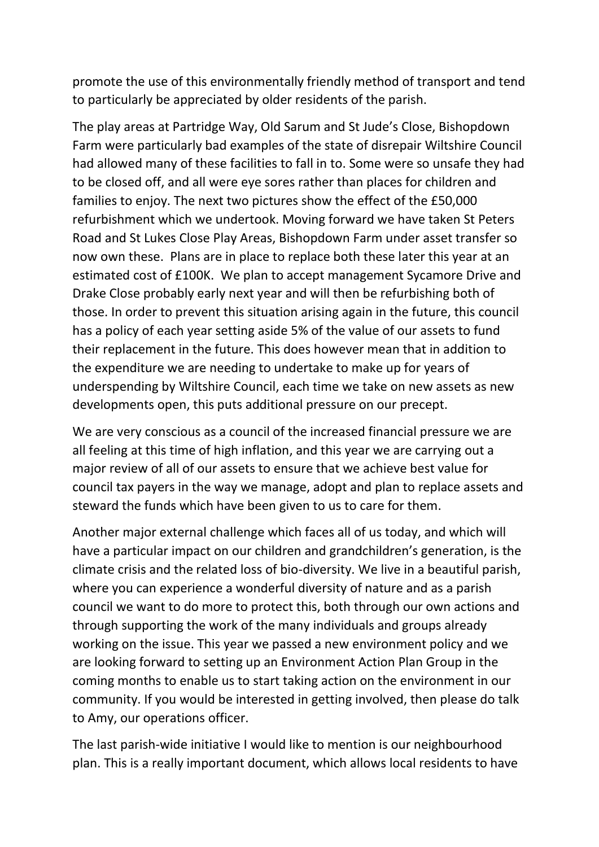promote the use of this environmentally friendly method of transport and tend to particularly be appreciated by older residents of the parish.

The play areas at Partridge Way, Old Sarum and St Jude's Close, Bishopdown Farm were particularly bad examples of the state of disrepair Wiltshire Council had allowed many of these facilities to fall in to. Some were so unsafe they had to be closed off, and all were eye sores rather than places for children and families to enjoy. The next two pictures show the effect of the £50,000 refurbishment which we undertook. Moving forward we have taken St Peters Road and St Lukes Close Play Areas, Bishopdown Farm under asset transfer so now own these. Plans are in place to replace both these later this year at an estimated cost of £100K. We plan to accept management Sycamore Drive and Drake Close probably early next year and will then be refurbishing both of those. In order to prevent this situation arising again in the future, this council has a policy of each year setting aside 5% of the value of our assets to fund their replacement in the future. This does however mean that in addition to the expenditure we are needing to undertake to make up for years of underspending by Wiltshire Council, each time we take on new assets as new developments open, this puts additional pressure on our precept.

We are very conscious as a council of the increased financial pressure we are all feeling at this time of high inflation, and this year we are carrying out a major review of all of our assets to ensure that we achieve best value for council tax payers in the way we manage, adopt and plan to replace assets and steward the funds which have been given to us to care for them.

Another major external challenge which faces all of us today, and which will have a particular impact on our children and grandchildren's generation, is the climate crisis and the related loss of bio-diversity. We live in a beautiful parish, where you can experience a wonderful diversity of nature and as a parish council we want to do more to protect this, both through our own actions and through supporting the work of the many individuals and groups already working on the issue. This year we passed a new environment policy and we are looking forward to setting up an Environment Action Plan Group in the coming months to enable us to start taking action on the environment in our community. If you would be interested in getting involved, then please do talk to Amy, our operations officer.

The last parish-wide initiative I would like to mention is our neighbourhood plan. This is a really important document, which allows local residents to have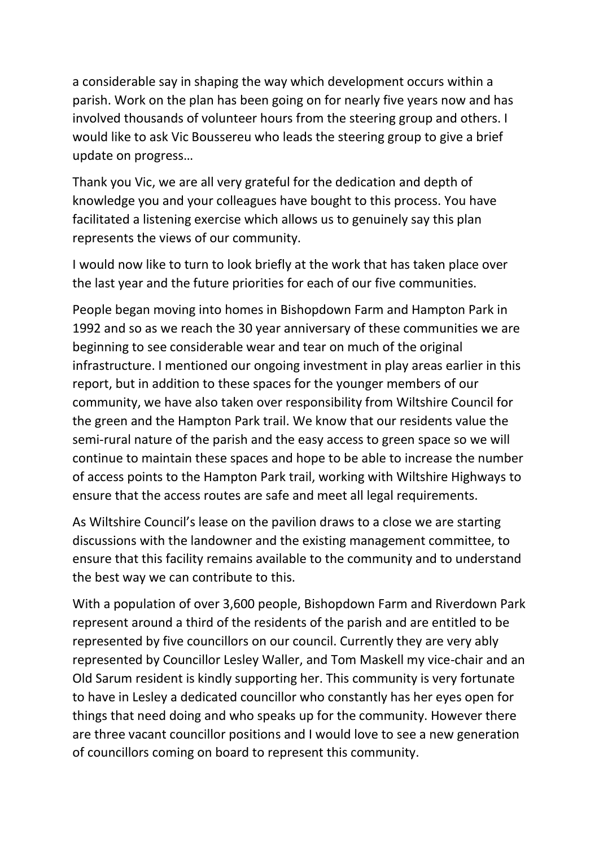a considerable say in shaping the way which development occurs within a parish. Work on the plan has been going on for nearly five years now and has involved thousands of volunteer hours from the steering group and others. I would like to ask Vic Boussereu who leads the steering group to give a brief update on progress…

Thank you Vic, we are all very grateful for the dedication and depth of knowledge you and your colleagues have bought to this process. You have facilitated a listening exercise which allows us to genuinely say this plan represents the views of our community.

I would now like to turn to look briefly at the work that has taken place over the last year and the future priorities for each of our five communities.

People began moving into homes in Bishopdown Farm and Hampton Park in 1992 and so as we reach the 30 year anniversary of these communities we are beginning to see considerable wear and tear on much of the original infrastructure. I mentioned our ongoing investment in play areas earlier in this report, but in addition to these spaces for the younger members of our community, we have also taken over responsibility from Wiltshire Council for the green and the Hampton Park trail. We know that our residents value the semi-rural nature of the parish and the easy access to green space so we will continue to maintain these spaces and hope to be able to increase the number of access points to the Hampton Park trail, working with Wiltshire Highways to ensure that the access routes are safe and meet all legal requirements.

As Wiltshire Council's lease on the pavilion draws to a close we are starting discussions with the landowner and the existing management committee, to ensure that this facility remains available to the community and to understand the best way we can contribute to this.

With a population of over 3,600 people, Bishopdown Farm and Riverdown Park represent around a third of the residents of the parish and are entitled to be represented by five councillors on our council. Currently they are very ably represented by Councillor Lesley Waller, and Tom Maskell my vice-chair and an Old Sarum resident is kindly supporting her. This community is very fortunate to have in Lesley a dedicated councillor who constantly has her eyes open for things that need doing and who speaks up for the community. However there are three vacant councillor positions and I would love to see a new generation of councillors coming on board to represent this community.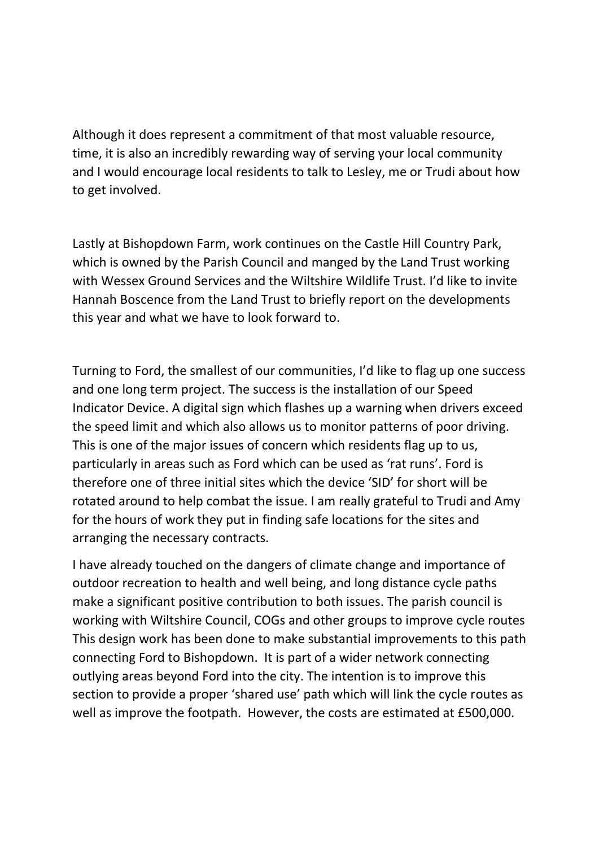Although it does represent a commitment of that most valuable resource, time, it is also an incredibly rewarding way of serving your local community and I would encourage local residents to talk to Lesley, me or Trudi about how to get involved.

Lastly at Bishopdown Farm, work continues on the Castle Hill Country Park, which is owned by the Parish Council and manged by the Land Trust working with Wessex Ground Services and the Wiltshire Wildlife Trust. I'd like to invite Hannah Boscence from the Land Trust to briefly report on the developments this year and what we have to look forward to.

Turning to Ford, the smallest of our communities, I'd like to flag up one success and one long term project. The success is the installation of our Speed Indicator Device. A digital sign which flashes up a warning when drivers exceed the speed limit and which also allows us to monitor patterns of poor driving. This is one of the major issues of concern which residents flag up to us, particularly in areas such as Ford which can be used as 'rat runs'. Ford is therefore one of three initial sites which the device 'SID' for short will be rotated around to help combat the issue. I am really grateful to Trudi and Amy for the hours of work they put in finding safe locations for the sites and arranging the necessary contracts.

I have already touched on the dangers of climate change and importance of outdoor recreation to health and well being, and long distance cycle paths make a significant positive contribution to both issues. The parish council is working with Wiltshire Council, COGs and other groups to improve cycle routes This design work has been done to make substantial improvements to this path connecting Ford to Bishopdown. It is part of a wider network connecting outlying areas beyond Ford into the city. The intention is to improve this section to provide a proper 'shared use' path which will link the cycle routes as well as improve the footpath. However, the costs are estimated at £500,000.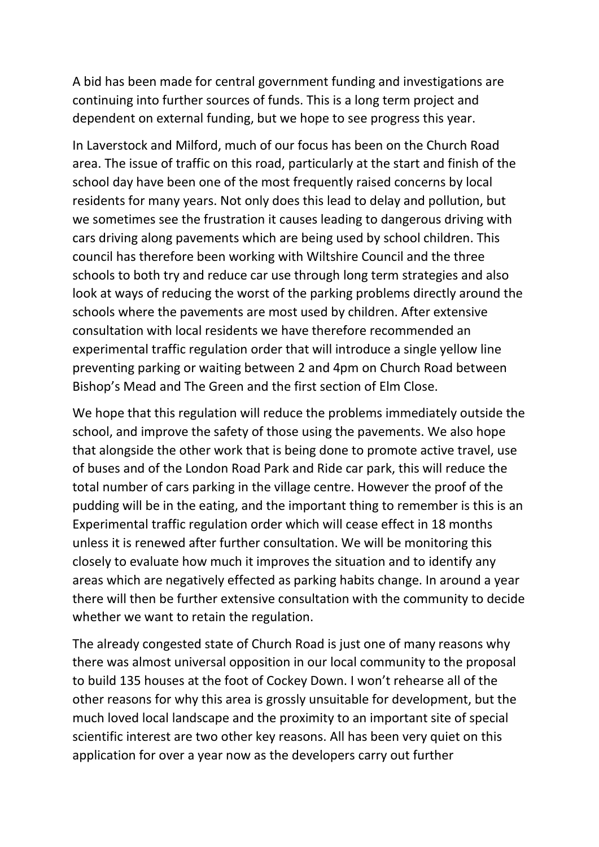A bid has been made for central government funding and investigations are continuing into further sources of funds. This is a long term project and dependent on external funding, but we hope to see progress this year.

In Laverstock and Milford, much of our focus has been on the Church Road area. The issue of traffic on this road, particularly at the start and finish of the school day have been one of the most frequently raised concerns by local residents for many years. Not only does this lead to delay and pollution, but we sometimes see the frustration it causes leading to dangerous driving with cars driving along pavements which are being used by school children. This council has therefore been working with Wiltshire Council and the three schools to both try and reduce car use through long term strategies and also look at ways of reducing the worst of the parking problems directly around the schools where the pavements are most used by children. After extensive consultation with local residents we have therefore recommended an experimental traffic regulation order that will introduce a single yellow line preventing parking or waiting between 2 and 4pm on Church Road between Bishop's Mead and The Green and the first section of Elm Close.

We hope that this regulation will reduce the problems immediately outside the school, and improve the safety of those using the pavements. We also hope that alongside the other work that is being done to promote active travel, use of buses and of the London Road Park and Ride car park, this will reduce the total number of cars parking in the village centre. However the proof of the pudding will be in the eating, and the important thing to remember is this is an Experimental traffic regulation order which will cease effect in 18 months unless it is renewed after further consultation. We will be monitoring this closely to evaluate how much it improves the situation and to identify any areas which are negatively effected as parking habits change. In around a year there will then be further extensive consultation with the community to decide whether we want to retain the regulation.

The already congested state of Church Road is just one of many reasons why there was almost universal opposition in our local community to the proposal to build 135 houses at the foot of Cockey Down. I won't rehearse all of the other reasons for why this area is grossly unsuitable for development, but the much loved local landscape and the proximity to an important site of special scientific interest are two other key reasons. All has been very quiet on this application for over a year now as the developers carry out further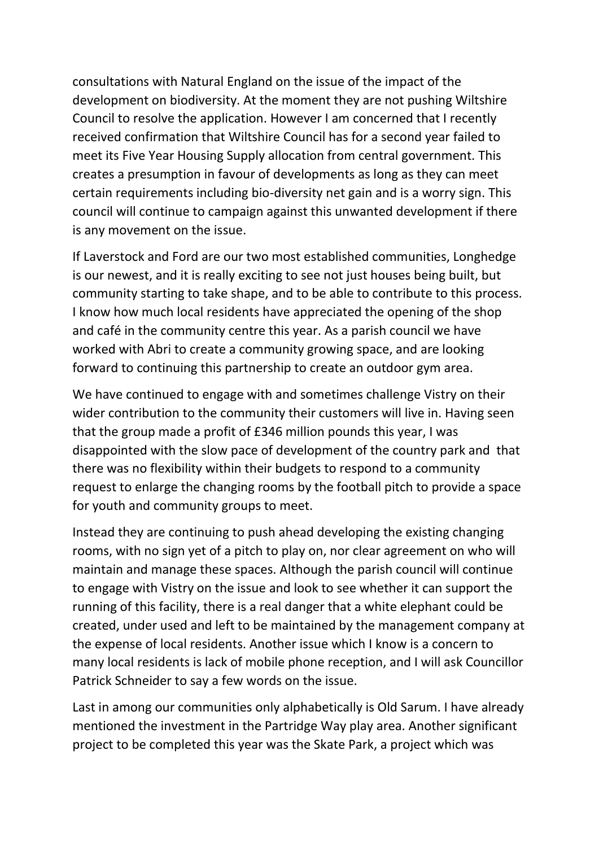consultations with Natural England on the issue of the impact of the development on biodiversity. At the moment they are not pushing Wiltshire Council to resolve the application. However I am concerned that I recently received confirmation that Wiltshire Council has for a second year failed to meet its Five Year Housing Supply allocation from central government. This creates a presumption in favour of developments as long as they can meet certain requirements including bio-diversity net gain and is a worry sign. This council will continue to campaign against this unwanted development if there is any movement on the issue.

If Laverstock and Ford are our two most established communities, Longhedge is our newest, and it is really exciting to see not just houses being built, but community starting to take shape, and to be able to contribute to this process. I know how much local residents have appreciated the opening of the shop and café in the community centre this year. As a parish council we have worked with Abri to create a community growing space, and are looking forward to continuing this partnership to create an outdoor gym area.

We have continued to engage with and sometimes challenge Vistry on their wider contribution to the community their customers will live in. Having seen that the group made a profit of £346 million pounds this year, I was disappointed with the slow pace of development of the country park and that there was no flexibility within their budgets to respond to a community request to enlarge the changing rooms by the football pitch to provide a space for youth and community groups to meet.

Instead they are continuing to push ahead developing the existing changing rooms, with no sign yet of a pitch to play on, nor clear agreement on who will maintain and manage these spaces. Although the parish council will continue to engage with Vistry on the issue and look to see whether it can support the running of this facility, there is a real danger that a white elephant could be created, under used and left to be maintained by the management company at the expense of local residents. Another issue which I know is a concern to many local residents is lack of mobile phone reception, and I will ask Councillor Patrick Schneider to say a few words on the issue.

Last in among our communities only alphabetically is Old Sarum. I have already mentioned the investment in the Partridge Way play area. Another significant project to be completed this year was the Skate Park, a project which was